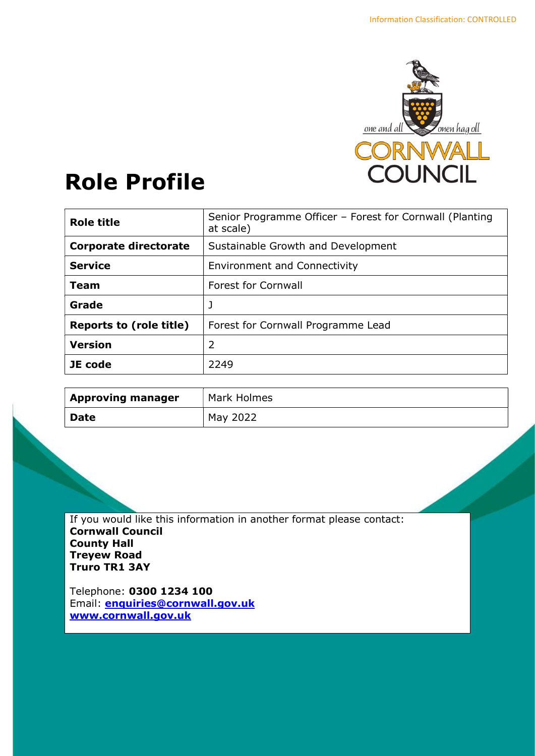

# Role Profile

| <b>Role title</b>              | Senior Programme Officer - Forest for Cornwall (Planting<br>at scale) |
|--------------------------------|-----------------------------------------------------------------------|
| <b>Corporate directorate</b>   | Sustainable Growth and Development                                    |
| <b>Service</b>                 | <b>Environment and Connectivity</b>                                   |
| Team                           | <b>Forest for Cornwall</b>                                            |
| Grade                          |                                                                       |
| <b>Reports to (role title)</b> | Forest for Cornwall Programme Lead                                    |
| <b>Version</b>                 | 2                                                                     |
| JE code                        | 2249                                                                  |

| <b>Approving manager</b> | Mark Holmes |
|--------------------------|-------------|
| Date                     | May 2022    |

If you would like this information in another format please contact: Cornwall Council County Hall Treyew Road Truro TR1 3AY

Telephone: 0300 1234 100 Email: **enquiries@cornwall.gov.uk** www.cornwall.gov.uk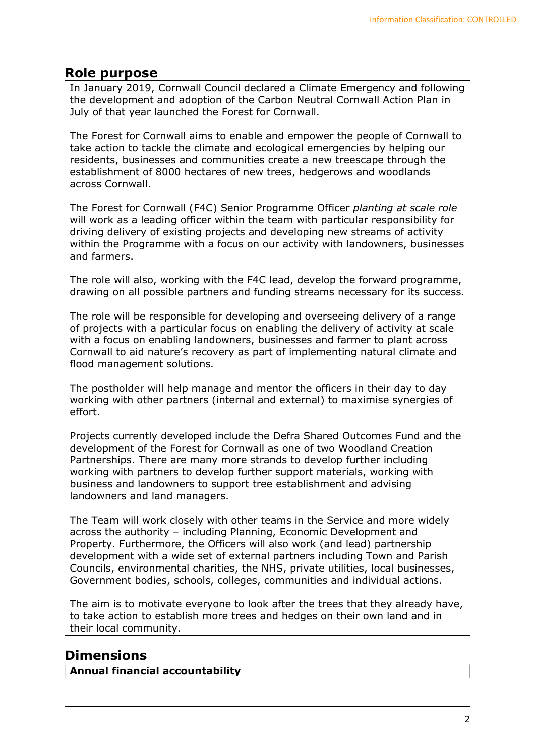# Role purpose

In January 2019, Cornwall Council declared a Climate Emergency and following the development and adoption of the Carbon Neutral Cornwall Action Plan in July of that year launched the Forest for Cornwall.

The Forest for Cornwall aims to enable and empower the people of Cornwall to take action to tackle the climate and ecological emergencies by helping our residents, businesses and communities create a new treescape through the establishment of 8000 hectares of new trees, hedgerows and woodlands across Cornwall.

The Forest for Cornwall (F4C) Senior Programme Officer planting at scale role will work as a leading officer within the team with particular responsibility for driving delivery of existing projects and developing new streams of activity within the Programme with a focus on our activity with landowners, businesses and farmers.

The role will also, working with the F4C lead, develop the forward programme, drawing on all possible partners and funding streams necessary for its success.

The role will be responsible for developing and overseeing delivery of a range of projects with a particular focus on enabling the delivery of activity at scale with a focus on enabling landowners, businesses and farmer to plant across Cornwall to aid nature's recovery as part of implementing natural climate and flood management solutions.

The postholder will help manage and mentor the officers in their day to day working with other partners (internal and external) to maximise synergies of effort.

Projects currently developed include the Defra Shared Outcomes Fund and the development of the Forest for Cornwall as one of two Woodland Creation Partnerships. There are many more strands to develop further including working with partners to develop further support materials, working with business and landowners to support tree establishment and advising landowners and land managers.

The Team will work closely with other teams in the Service and more widely across the authority – including Planning, Economic Development and Property. Furthermore, the Officers will also work (and lead) partnership development with a wide set of external partners including Town and Parish Councils, environmental charities, the NHS, private utilities, local businesses, Government bodies, schools, colleges, communities and individual actions.

The aim is to motivate everyone to look after the trees that they already have, to take action to establish more trees and hedges on their own land and in their local community.

# **Dimensions**

Annual financial accountability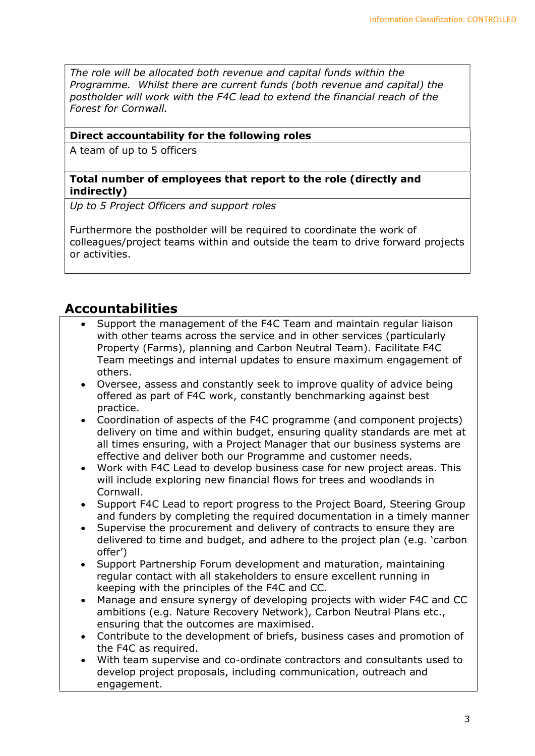The role will be allocated both revenue and capital funds within the Programme. Whilst there are current funds (both revenue and capital) the postholder will work with the F4C lead to extend the financial reach of the Forest for Cornwall.

### Direct accountability for the following roles

A team of up to 5 officers

### Total number of employees that report to the role (directly and indirectly)

Up to 5 Project Officers and support roles

Furthermore the postholder will be required to coordinate the work of colleagues/project teams within and outside the team to drive forward projects or activities.

# Accountabilities

- Support the management of the F4C Team and maintain regular liaison with other teams across the service and in other services (particularly Property (Farms), planning and Carbon Neutral Team). Facilitate F4C Team meetings and internal updates to ensure maximum engagement of others.
- Oversee, assess and constantly seek to improve quality of advice being offered as part of F4C work, constantly benchmarking against best practice.
- Coordination of aspects of the F4C programme (and component projects) delivery on time and within budget, ensuring quality standards are met at all times ensuring, with a Project Manager that our business systems are effective and deliver both our Programme and customer needs.
- Work with F4C Lead to develop business case for new project areas. This will include exploring new financial flows for trees and woodlands in Cornwall.
- Support F4C Lead to report progress to the Project Board, Steering Group and funders by completing the required documentation in a timely manner
- Supervise the procurement and delivery of contracts to ensure they are delivered to time and budget, and adhere to the project plan (e.g. 'carbon offer')
- Support Partnership Forum development and maturation, maintaining regular contact with all stakeholders to ensure excellent running in keeping with the principles of the F4C and CC.
- Manage and ensure synergy of developing projects with wider F4C and CC ambitions (e.g. Nature Recovery Network), Carbon Neutral Plans etc., ensuring that the outcomes are maximised.
- Contribute to the development of briefs, business cases and promotion of the F4C as required.
- With team supervise and co-ordinate contractors and consultants used to develop project proposals, including communication, outreach and engagement.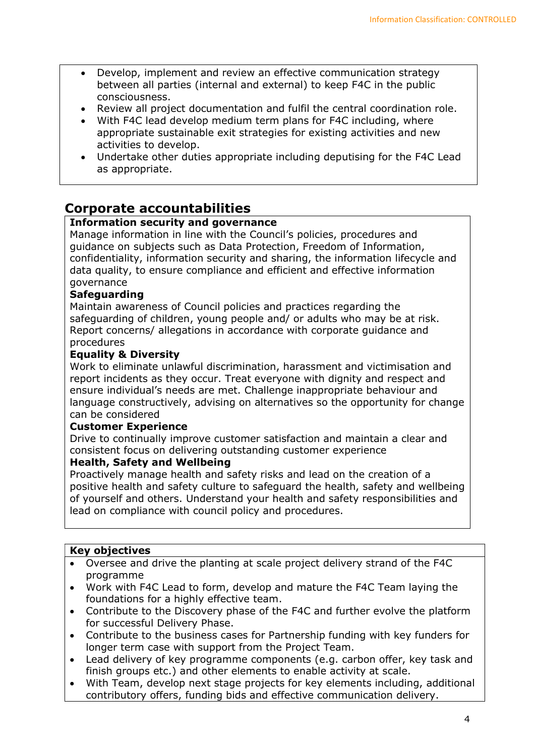- Develop, implement and review an effective communication strategy between all parties (internal and external) to keep F4C in the public consciousness.
- Review all project documentation and fulfil the central coordination role.
- With F4C lead develop medium term plans for F4C including, where appropriate sustainable exit strategies for existing activities and new activities to develop.
- Undertake other duties appropriate including deputising for the F4C Lead as appropriate.

# Corporate accountabilities

# Information security and governance

Manage information in line with the Council's policies, procedures and guidance on subjects such as Data Protection, Freedom of Information, confidentiality, information security and sharing, the information lifecycle and data quality, to ensure compliance and efficient and effective information governance

## Safeguarding

Maintain awareness of Council policies and practices regarding the safeguarding of children, young people and/ or adults who may be at risk. Report concerns/ allegations in accordance with corporate guidance and procedures

## Equality & Diversity

Work to eliminate unlawful discrimination, harassment and victimisation and report incidents as they occur. Treat everyone with dignity and respect and ensure individual's needs are met. Challenge inappropriate behaviour and language constructively, advising on alternatives so the opportunity for change can be considered

## Customer Experience

Drive to continually improve customer satisfaction and maintain a clear and consistent focus on delivering outstanding customer experience

## Health, Safety and Wellbeing

Proactively manage health and safety risks and lead on the creation of a positive health and safety culture to safeguard the health, safety and wellbeing of yourself and others. Understand your health and safety responsibilities and lead on compliance with council policy and procedures.

## Key objectives

- Oversee and drive the planting at scale project delivery strand of the F4C programme
- Work with F4C Lead to form, develop and mature the F4C Team laying the foundations for a highly effective team.
- Contribute to the Discovery phase of the F4C and further evolve the platform for successful Delivery Phase.
- Contribute to the business cases for Partnership funding with key funders for longer term case with support from the Project Team.
- Lead delivery of key programme components (e.g. carbon offer, key task and finish groups etc.) and other elements to enable activity at scale.
- With Team, develop next stage projects for key elements including, additional contributory offers, funding bids and effective communication delivery.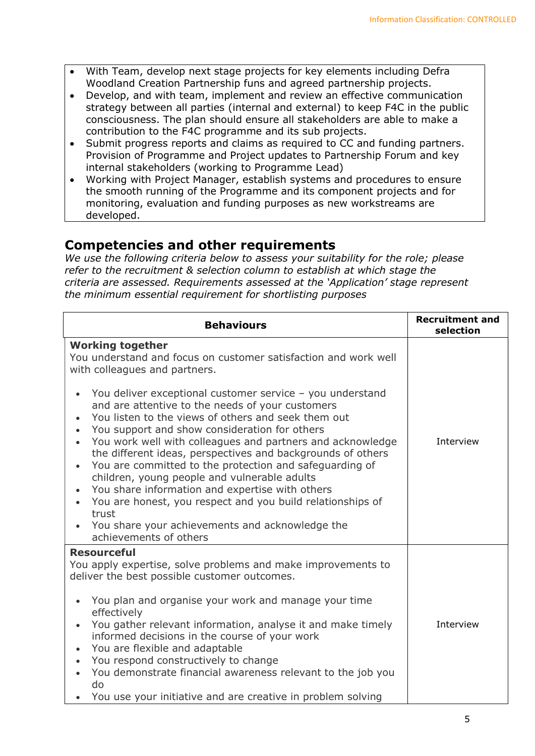- With Team, develop next stage projects for key elements including Defra Woodland Creation Partnership funs and agreed partnership projects.
- Develop, and with team, implement and review an effective communication strategy between all parties (internal and external) to keep F4C in the public consciousness. The plan should ensure all stakeholders are able to make a contribution to the F4C programme and its sub projects.
- Submit progress reports and claims as required to CC and funding partners. Provision of Programme and Project updates to Partnership Forum and key internal stakeholders (working to Programme Lead)
- Working with Project Manager, establish systems and procedures to ensure the smooth running of the Programme and its component projects and for monitoring, evaluation and funding purposes as new workstreams are developed.

# Competencies and other requirements

We use the following criteria below to assess your suitability for the role; please refer to the recruitment & selection column to establish at which stage the criteria are assessed. Requirements assessed at the 'Application' stage represent the minimum essential requirement for shortlisting purposes

| <b>Behaviours</b>                                                                                                                                                                                                                                                                                                                                                                                                                                                                                                                                                                                                                                                                                                                                                                                                                                                                 | <b>Recruitment and</b><br>selection |
|-----------------------------------------------------------------------------------------------------------------------------------------------------------------------------------------------------------------------------------------------------------------------------------------------------------------------------------------------------------------------------------------------------------------------------------------------------------------------------------------------------------------------------------------------------------------------------------------------------------------------------------------------------------------------------------------------------------------------------------------------------------------------------------------------------------------------------------------------------------------------------------|-------------------------------------|
| <b>Working together</b><br>You understand and focus on customer satisfaction and work well<br>with colleagues and partners.<br>You deliver exceptional customer service - you understand<br>$\bullet$<br>and are attentive to the needs of your customers<br>You listen to the views of others and seek them out<br>You support and show consideration for others<br>$\bullet$<br>You work well with colleagues and partners and acknowledge<br>$\bullet$<br>the different ideas, perspectives and backgrounds of others<br>You are committed to the protection and safeguarding of<br>$\bullet$<br>children, young people and vulnerable adults<br>You share information and expertise with others<br>$\bullet$<br>You are honest, you respect and you build relationships of<br>$\bullet$<br>trust<br>You share your achievements and acknowledge the<br>achievements of others | Interview                           |
| <b>Resourceful</b><br>You apply expertise, solve problems and make improvements to<br>deliver the best possible customer outcomes.<br>You plan and organise your work and manage your time<br>$\bullet$<br>effectively<br>You gather relevant information, analyse it and make timely<br>$\bullet$<br>informed decisions in the course of your work<br>You are flexible and adaptable<br>$\bullet$<br>You respond constructively to change<br>$\bullet$<br>You demonstrate financial awareness relevant to the job you<br>do<br>You use your initiative and are creative in problem solving                                                                                                                                                                                                                                                                                       | Interview                           |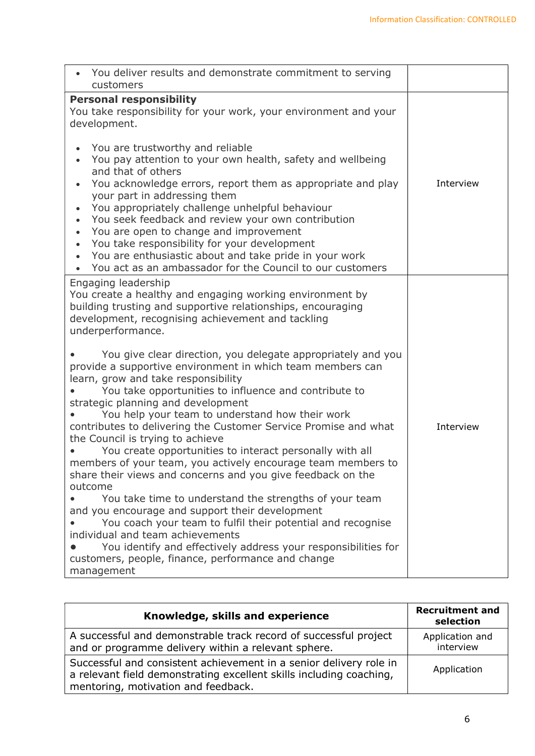| • You deliver results and demonstrate commitment to serving<br>customers                                                                                                                                                                                                                                                                                                                                                                                                                                                                                                                                                                                                                                                                                                                                                                                                                                                                                                                                                                                                                                                                                                                             |           |
|------------------------------------------------------------------------------------------------------------------------------------------------------------------------------------------------------------------------------------------------------------------------------------------------------------------------------------------------------------------------------------------------------------------------------------------------------------------------------------------------------------------------------------------------------------------------------------------------------------------------------------------------------------------------------------------------------------------------------------------------------------------------------------------------------------------------------------------------------------------------------------------------------------------------------------------------------------------------------------------------------------------------------------------------------------------------------------------------------------------------------------------------------------------------------------------------------|-----------|
| <b>Personal responsibility</b><br>You take responsibility for your work, your environment and your<br>development.                                                                                                                                                                                                                                                                                                                                                                                                                                                                                                                                                                                                                                                                                                                                                                                                                                                                                                                                                                                                                                                                                   |           |
| You are trustworthy and reliable<br>You pay attention to your own health, safety and wellbeing<br>$\bullet$<br>and that of others<br>You acknowledge errors, report them as appropriate and play<br>$\bullet$<br>your part in addressing them<br>You appropriately challenge unhelpful behaviour<br>You seek feedback and review your own contribution<br>You are open to change and improvement<br>You take responsibility for your development<br>$\bullet$<br>You are enthusiastic about and take pride in your work<br>$\bullet$<br>You act as an ambassador for the Council to our customers                                                                                                                                                                                                                                                                                                                                                                                                                                                                                                                                                                                                    | Interview |
| Engaging leadership<br>You create a healthy and engaging working environment by<br>building trusting and supportive relationships, encouraging<br>development, recognising achievement and tackling<br>underperformance.<br>You give clear direction, you delegate appropriately and you<br>provide a supportive environment in which team members can<br>learn, grow and take responsibility<br>You take opportunities to influence and contribute to<br>strategic planning and development<br>You help your team to understand how their work<br>contributes to delivering the Customer Service Promise and what<br>the Council is trying to achieve<br>You create opportunities to interact personally with all<br>members of your team, you actively encourage team members to<br>share their views and concerns and you give feedback on the<br>outcome<br>You take time to understand the strengths of your team<br>and you encourage and support their development<br>You coach your team to fulfil their potential and recognise<br>individual and team achievements<br>You identify and effectively address your responsibilities for<br>customers, people, finance, performance and change | Interview |

| Knowledge, skills and experience                                                                                                                                                 | <b>Recruitment and</b><br>selection |
|----------------------------------------------------------------------------------------------------------------------------------------------------------------------------------|-------------------------------------|
| A successful and demonstrable track record of successful project<br>and or programme delivery within a relevant sphere.                                                          | Application and<br>interview        |
| Successful and consistent achievement in a senior delivery role in<br>a relevant field demonstrating excellent skills including coaching,<br>mentoring, motivation and feedback. | Application                         |